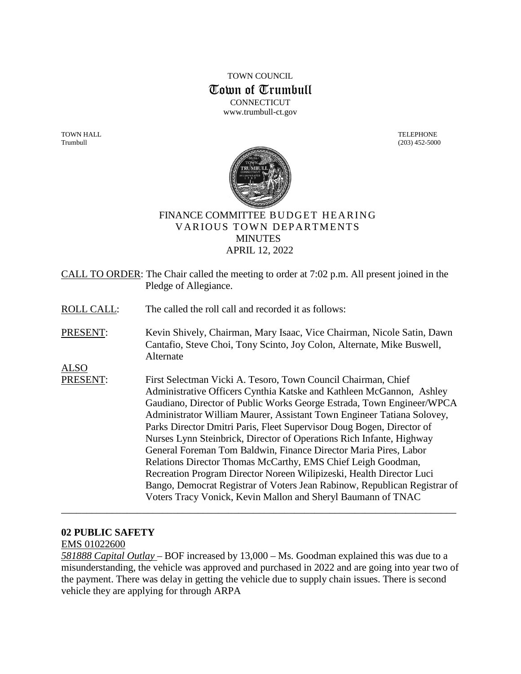TOWN COUNCIL Town of Trumbull **CONNECTICUT** www.trumbull-ct.gov

TOWN HALL TELEPHONE Trumbull (203) 452-5000



## FINANCE COMMITTEE BUDGET HEARING VARIOUS TOWN DEPARTMENTS **MINUTES** APRIL 12, 2022

CALL TO ORDER: The Chair called the meeting to order at 7:02 p.m. All present joined in the Pledge of Allegiance.

ROLL CALL: The called the roll call and recorded it as follows:

PRESENT: Kevin Shively, Chairman, Mary Isaac, Vice Chairman, Nicole Satin, Dawn Cantafio, Steve Choi, Tony Scinto, Joy Colon, Alternate, Mike Buswell, Alternate

ALSO

PRESENT: First Selectman Vicki A. Tesoro, Town Council Chairman, Chief Administrative Officers Cynthia Katske and Kathleen McGannon, Ashley Gaudiano, Director of Public Works George Estrada, Town Engineer/WPCA Administrator William Maurer, Assistant Town Engineer Tatiana Solovey, Parks Director Dmitri Paris, Fleet Supervisor Doug Bogen, Director of Nurses Lynn Steinbrick, Director of Operations Rich Infante, Highway General Foreman Tom Baldwin, Finance Director Maria Pires, Labor Relations Director Thomas McCarthy, EMS Chief Leigh Goodman, Recreation Program Director Noreen Wilipizeski, Health Director Luci Bango, Democrat Registrar of Voters Jean Rabinow, Republican Registrar of Voters Tracy Vonick, Kevin Mallon and Sheryl Baumann of TNAC

#### **02 PUBLIC SAFETY**

EMS 01022600

*581888 Capital Outlay* – BOF increased by 13,000 – Ms. Goodman explained this was due to a misunderstanding, the vehicle was approved and purchased in 2022 and are going into year two of the payment. There was delay in getting the vehicle due to supply chain issues. There is second vehicle they are applying for through ARPA

\_\_\_\_\_\_\_\_\_\_\_\_\_\_\_\_\_\_\_\_\_\_\_\_\_\_\_\_\_\_\_\_\_\_\_\_\_\_\_\_\_\_\_\_\_\_\_\_\_\_\_\_\_\_\_\_\_\_\_\_\_\_\_\_\_\_\_\_\_\_\_\_\_\_\_\_\_\_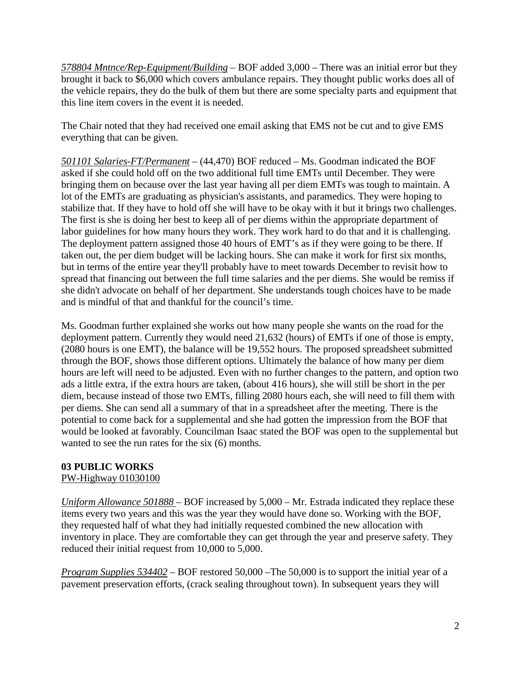*578804 Mntnce/Rep-Equipment/Building* – BOF added 3,000 – There was an initial error but they brought it back to \$6,000 which covers ambulance repairs. They thought public works does all of the vehicle repairs, they do the bulk of them but there are some specialty parts and equipment that this line item covers in the event it is needed.

The Chair noted that they had received one email asking that EMS not be cut and to give EMS everything that can be given.

*501101 Salaries-FT/Permanent* – (44,470) BOF reduced – Ms. Goodman indicated the BOF asked if she could hold off on the two additional full time EMTs until December. They were bringing them on because over the last year having all per diem EMTs was tough to maintain. A lot of the EMTs are graduating as physician's assistants, and paramedics. They were hoping to stabilize that. If they have to hold off she will have to be okay with it but it brings two challenges. The first is she is doing her best to keep all of per diems within the appropriate department of labor guidelines for how many hours they work. They work hard to do that and it is challenging. The deployment pattern assigned those 40 hours of EMT's as if they were going to be there. If taken out, the per diem budget will be lacking hours. She can make it work for first six months, but in terms of the entire year they'll probably have to meet towards December to revisit how to spread that financing out between the full time salaries and the per diems. She would be remiss if she didn't advocate on behalf of her department. She understands tough choices have to be made and is mindful of that and thankful for the council's time.

Ms. Goodman further explained she works out how many people she wants on the road for the deployment pattern. Currently they would need 21,632 (hours) of EMTs if one of those is empty, (2080 hours is one EMT), the balance will be 19,552 hours. The proposed spreadsheet submitted through the BOF, shows those different options. Ultimately the balance of how many per diem hours are left will need to be adjusted. Even with no further changes to the pattern, and option two ads a little extra, if the extra hours are taken, (about 416 hours), she will still be short in the per diem, because instead of those two EMTs, filling 2080 hours each, she will need to fill them with per diems. She can send all a summary of that in a spreadsheet after the meeting. There is the potential to come back for a supplemental and she had gotten the impression from the BOF that would be looked at favorably. Councilman Isaac stated the BOF was open to the supplemental but wanted to see the run rates for the six (6) months.

# **03 PUBLIC WORKS**

# PW-Highway 01030100

*Uniform Allowance 501888* – BOF increased by 5,000 – Mr. Estrada indicated they replace these items every two years and this was the year they would have done so. Working with the BOF, they requested half of what they had initially requested combined the new allocation with inventory in place. They are comfortable they can get through the year and preserve safety. They reduced their initial request from 10,000 to 5,000.

*Program Supplies 534402* – BOF restored 50,000 –The 50,000 is to support the initial year of a pavement preservation efforts, (crack sealing throughout town). In subsequent years they will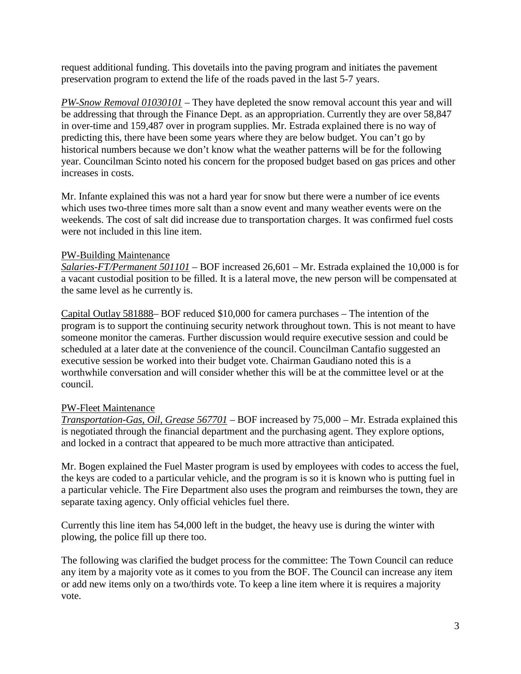request additional funding. This dovetails into the paving program and initiates the pavement preservation program to extend the life of the roads paved in the last 5-7 years.

*PW-Snow Removal 01030101* – They have depleted the snow removal account this year and will be addressing that through the Finance Dept. as an appropriation. Currently they are over 58,847 in over-time and 159,487 over in program supplies. Mr. Estrada explained there is no way of predicting this, there have been some years where they are below budget. You can't go by historical numbers because we don't know what the weather patterns will be for the following year. Councilman Scinto noted his concern for the proposed budget based on gas prices and other increases in costs.

Mr. Infante explained this was not a hard year for snow but there were a number of ice events which uses two-three times more salt than a snow event and many weather events were on the weekends. The cost of salt did increase due to transportation charges. It was confirmed fuel costs were not included in this line item.

## PW-Building Maintenance

*Salaries-FT/Permanent 501101* – BOF increased 26,601 – Mr. Estrada explained the 10,000 is for a vacant custodial position to be filled. It is a lateral move, the new person will be compensated at the same level as he currently is.

Capital Outlay 581888– BOF reduced \$10,000 for camera purchases – The intention of the program is to support the continuing security network throughout town. This is not meant to have someone monitor the cameras. Further discussion would require executive session and could be scheduled at a later date at the convenience of the council. Councilman Cantafio suggested an executive session be worked into their budget vote. Chairman Gaudiano noted this is a worthwhile conversation and will consider whether this will be at the committee level or at the council.

# PW-Fleet Maintenance

*Transportation-Gas, Oil, Grease 567701* – BOF increased by 75,000 – Mr. Estrada explained this is negotiated through the financial department and the purchasing agent. They explore options, and locked in a contract that appeared to be much more attractive than anticipated.

Mr. Bogen explained the Fuel Master program is used by employees with codes to access the fuel, the keys are coded to a particular vehicle, and the program is so it is known who is putting fuel in a particular vehicle. The Fire Department also uses the program and reimburses the town, they are separate taxing agency. Only official vehicles fuel there.

Currently this line item has 54,000 left in the budget, the heavy use is during the winter with plowing, the police fill up there too.

The following was clarified the budget process for the committee: The Town Council can reduce any item by a majority vote as it comes to you from the BOF. The Council can increase any item or add new items only on a two/thirds vote. To keep a line item where it is requires a majority vote.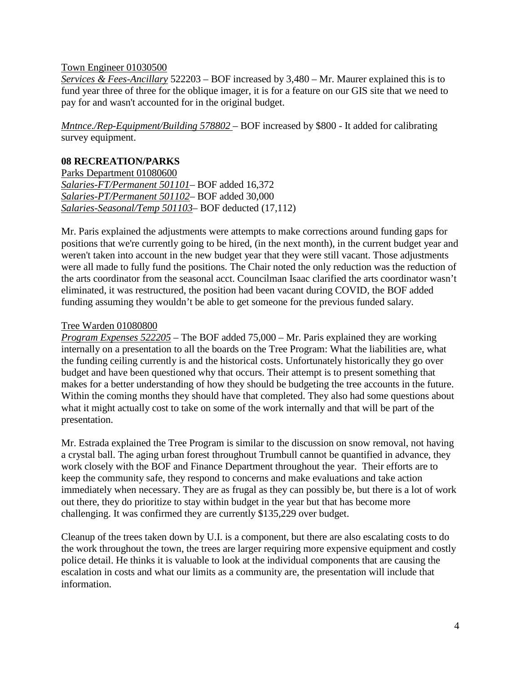#### Town Engineer 01030500

*Services & Fees-Ancillary* 522203 – BOF increased by 3,480 – Mr. Maurer explained this is to fund year three of three for the oblique imager, it is for a feature on our GIS site that we need to pay for and wasn't accounted for in the original budget.

*Mntnce./Rep-Equipment/Building 578802* – BOF increased by \$800 - It added for calibrating survey equipment.

#### **08 RECREATION/PARKS**

Parks Department 01080600 *Salaries-FT/Permanent 501101*– BOF added 16,372 *Salaries-PT/Permanent 501102*– BOF added 30,000 *Salaries-Seasonal/Temp 501103*– BOF deducted (17,112)

Mr. Paris explained the adjustments were attempts to make corrections around funding gaps for positions that we're currently going to be hired, (in the next month), in the current budget year and weren't taken into account in the new budget year that they were still vacant. Those adjustments were all made to fully fund the positions. The Chair noted the only reduction was the reduction of the arts coordinator from the seasonal acct. Councilman Isaac clarified the arts coordinator wasn't eliminated, it was restructured, the position had been vacant during COVID, the BOF added funding assuming they wouldn't be able to get someone for the previous funded salary.

#### Tree Warden 01080800

*Program Expenses 522205* – The BOF added 75,000 – Mr. Paris explained they are working internally on a presentation to all the boards on the Tree Program: What the liabilities are, what the funding ceiling currently is and the historical costs. Unfortunately historically they go over budget and have been questioned why that occurs. Their attempt is to present something that makes for a better understanding of how they should be budgeting the tree accounts in the future. Within the coming months they should have that completed. They also had some questions about what it might actually cost to take on some of the work internally and that will be part of the presentation.

Mr. Estrada explained the Tree Program is similar to the discussion on snow removal, not having a crystal ball. The aging urban forest throughout Trumbull cannot be quantified in advance, they work closely with the BOF and Finance Department throughout the year. Their efforts are to keep the community safe, they respond to concerns and make evaluations and take action immediately when necessary. They are as frugal as they can possibly be, but there is a lot of work out there, they do prioritize to stay within budget in the year but that has become more challenging. It was confirmed they are currently \$135,229 over budget.

Cleanup of the trees taken down by U.I. is a component, but there are also escalating costs to do the work throughout the town, the trees are larger requiring more expensive equipment and costly police detail. He thinks it is valuable to look at the individual components that are causing the escalation in costs and what our limits as a community are, the presentation will include that information.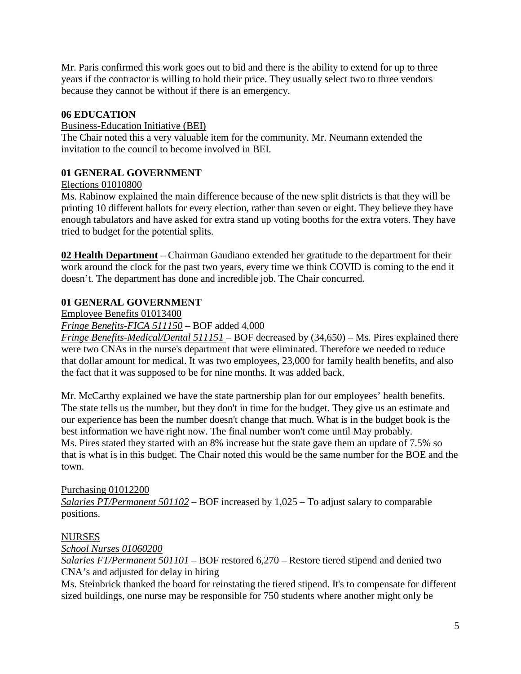Mr. Paris confirmed this work goes out to bid and there is the ability to extend for up to three years if the contractor is willing to hold their price. They usually select two to three vendors because they cannot be without if there is an emergency.

## **06 EDUCATION**

#### Business-Education Initiative (BEI)

The Chair noted this a very valuable item for the community. Mr. Neumann extended the invitation to the council to become involved in BEI.

### **01 GENERAL GOVERNMENT**

#### Elections 01010800

Ms. Rabinow explained the main difference because of the new split districts is that they will be printing 10 different ballots for every election, rather than seven or eight. They believe they have enough tabulators and have asked for extra stand up voting booths for the extra voters. They have tried to budget for the potential splits.

**02 Health Department** – Chairman Gaudiano extended her gratitude to the department for their work around the clock for the past two years, every time we think COVID is coming to the end it doesn't. The department has done and incredible job. The Chair concurred.

## **01 GENERAL GOVERNMENT**

Employee Benefits 01013400

*Fringe Benefits-FICA 511150* – BOF added 4,000

*Fringe Benefits-Medical/Dental 511151* – BOF decreased by (34,650) – Ms. Pires explained there were two CNAs in the nurse's department that were eliminated. Therefore we needed to reduce that dollar amount for medical. It was two employees, 23,000 for family health benefits, and also the fact that it was supposed to be for nine months. It was added back.

Mr. McCarthy explained we have the state partnership plan for our employees' health benefits. The state tells us the number, but they don't in time for the budget. They give us an estimate and our experience has been the number doesn't change that much. What is in the budget book is the best information we have right now. The final number won't come until May probably. Ms. Pires stated they started with an 8% increase but the state gave them an update of 7.5% so that is what is in this budget. The Chair noted this would be the same number for the BOE and the town.

## Purchasing 01012200 *Salaries PT/Permanent 501102* – BOF increased by 1,025 – To adjust salary to comparable positions.

#### NURSES

*School Nurses 01060200*

*Salaries FT/Permanent 501101* – BOF restored 6,270 – Restore tiered stipend and denied two CNA's and adjusted for delay in hiring

Ms. Steinbrick thanked the board for reinstating the tiered stipend. It's to compensate for different sized buildings, one nurse may be responsible for 750 students where another might only be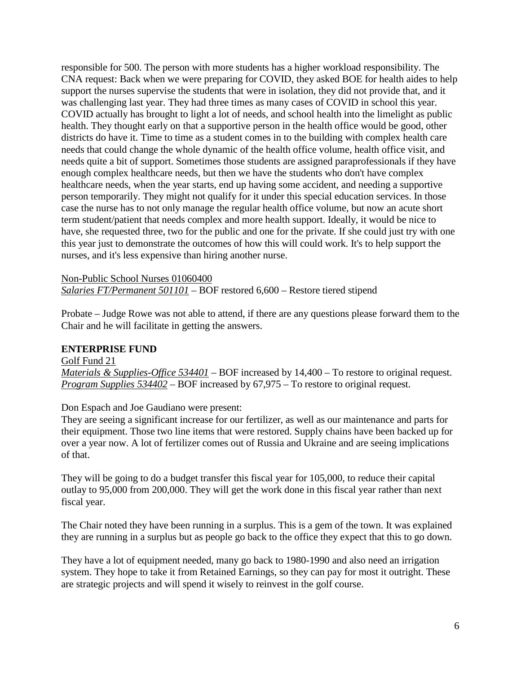responsible for 500. The person with more students has a higher workload responsibility. The CNA request: Back when we were preparing for COVID, they asked BOE for health aides to help support the nurses supervise the students that were in isolation, they did not provide that, and it was challenging last year. They had three times as many cases of COVID in school this year. COVID actually has brought to light a lot of needs, and school health into the limelight as public health. They thought early on that a supportive person in the health office would be good, other districts do have it. Time to time as a student comes in to the building with complex health care needs that could change the whole dynamic of the health office volume, health office visit, and needs quite a bit of support. Sometimes those students are assigned paraprofessionals if they have enough complex healthcare needs, but then we have the students who don't have complex healthcare needs, when the year starts, end up having some accident, and needing a supportive person temporarily. They might not qualify for it under this special education services. In those case the nurse has to not only manage the regular health office volume, but now an acute short term student/patient that needs complex and more health support. Ideally, it would be nice to have, she requested three, two for the public and one for the private. If she could just try with one this year just to demonstrate the outcomes of how this will could work. It's to help support the nurses, and it's less expensive than hiring another nurse.

Non-Public School Nurses 01060400 *Salaries FT/Permanent 501101* – BOF restored 6,600 – Restore tiered stipend

Probate – Judge Rowe was not able to attend, if there are any questions please forward them to the Chair and he will facilitate in getting the answers.

#### **ENTERPRISE FUND**

Golf Fund 21 *Materials & Supplies-Office 534401* – BOF increased by 14,400 – To restore to original request. *Program Supplies 534402* – BOF increased by 67,975 – To restore to original request.

Don Espach and Joe Gaudiano were present:

They are seeing a significant increase for our fertilizer, as well as our maintenance and parts for their equipment. Those two line items that were restored. Supply chains have been backed up for over a year now. A lot of fertilizer comes out of Russia and Ukraine and are seeing implications of that.

They will be going to do a budget transfer this fiscal year for 105,000, to reduce their capital outlay to 95,000 from 200,000. They will get the work done in this fiscal year rather than next fiscal year.

The Chair noted they have been running in a surplus. This is a gem of the town. It was explained they are running in a surplus but as people go back to the office they expect that this to go down.

They have a lot of equipment needed, many go back to 1980-1990 and also need an irrigation system. They hope to take it from Retained Earnings, so they can pay for most it outright. These are strategic projects and will spend it wisely to reinvest in the golf course.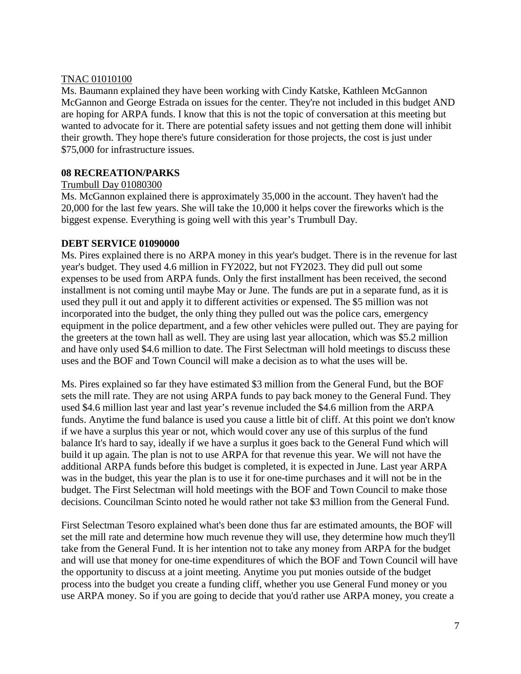### TNAC 01010100

Ms. Baumann explained they have been working with Cindy Katske, Kathleen McGannon McGannon and George Estrada on issues for the center. They're not included in this budget AND are hoping for ARPA funds. I know that this is not the topic of conversation at this meeting but wanted to advocate for it. There are potential safety issues and not getting them done will inhibit their growth. They hope there's future consideration for those projects, the cost is just under \$75,000 for infrastructure issues.

## **08 RECREATION/PARKS**

## Trumbull Day 01080300

Ms. McGannon explained there is approximately 35,000 in the account. They haven't had the 20,000 for the last few years. She will take the 10,000 it helps cover the fireworks which is the biggest expense. Everything is going well with this year's Trumbull Day.

## **DEBT SERVICE 01090000**

Ms. Pires explained there is no ARPA money in this year's budget. There is in the revenue for last year's budget. They used 4.6 million in FY2022, but not FY2023. They did pull out some expenses to be used from ARPA funds. Only the first installment has been received, the second installment is not coming until maybe May or June. The funds are put in a separate fund, as it is used they pull it out and apply it to different activities or expensed. The \$5 million was not incorporated into the budget, the only thing they pulled out was the police cars, emergency equipment in the police department, and a few other vehicles were pulled out. They are paying for the greeters at the town hall as well. They are using last year allocation, which was \$5.2 million and have only used \$4.6 million to date. The First Selectman will hold meetings to discuss these uses and the BOF and Town Council will make a decision as to what the uses will be.

Ms. Pires explained so far they have estimated \$3 million from the General Fund, but the BOF sets the mill rate. They are not using ARPA funds to pay back money to the General Fund. They used \$4.6 million last year and last year's revenue included the \$4.6 million from the ARPA funds. Anytime the fund balance is used you cause a little bit of cliff. At this point we don't know if we have a surplus this year or not, which would cover any use of this surplus of the fund balance It's hard to say, ideally if we have a surplus it goes back to the General Fund which will build it up again. The plan is not to use ARPA for that revenue this year. We will not have the additional ARPA funds before this budget is completed, it is expected in June. Last year ARPA was in the budget, this year the plan is to use it for one-time purchases and it will not be in the budget. The First Selectman will hold meetings with the BOF and Town Council to make those decisions. Councilman Scinto noted he would rather not take \$3 million from the General Fund.

First Selectman Tesoro explained what's been done thus far are estimated amounts, the BOF will set the mill rate and determine how much revenue they will use, they determine how much they'll take from the General Fund. It is her intention not to take any money from ARPA for the budget and will use that money for one-time expenditures of which the BOF and Town Council will have the opportunity to discuss at a joint meeting. Anytime you put monies outside of the budget process into the budget you create a funding cliff, whether you use General Fund money or you use ARPA money. So if you are going to decide that you'd rather use ARPA money, you create a